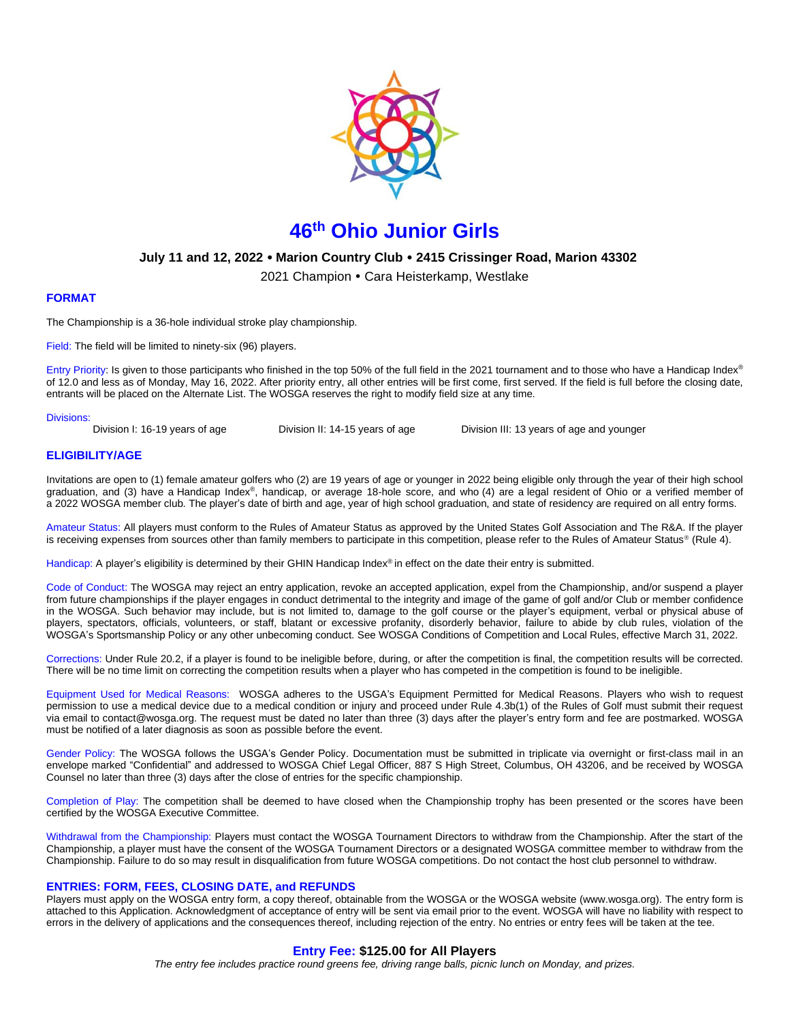

# **46 th Ohio Junior Girls**

# **July 11 and 12, 2022 Marion Country Club 2415 Crissinger Road, Marion 43302**

2021 Champion • Cara Heisterkamp, Westlake

## **FORMAT**

The Championship is a 36-hole individual stroke play championship.

Field: The field will be limited to ninety-six (96) players.

Entry Priority: Is given to those participants who finished in the top 50% of the full field in the 2021 tournament and to those who have a Handicap Index® of 12.0 and less as of Monday, May 16, 2022. After priority entry, all other entries will be first come, first served. If the field is full before the closing date, entrants will be placed on the Alternate List. The WOSGA reserves the right to modify field size at any time.

#### Divisions:

Division I: 16-19 years of age Division II: 14-15 years of age Division III: 13 years of age and younger

## **ELIGIBILITY/AGE**

Invitations are open to (1) female amateur golfers who (2) are 19 years of age or younger in 2022 being eligible only through the year of their high school graduation, and (3) have a Handicap Index®, handicap, or average 18-hole score, and who (4) are a legal resident of Ohio or a verified member of a 2022 WOSGA member club. The player's date of birth and age, year of high school graduation, and state of residency are required on all entry forms.

Amateur Status: All players must conform to the [Rules of Amateur Status](https://www.usga.org/rules/rules-of-amateur-status.html#!rule-01) as approved by the United States Golf Association and The R&A. If the player is receiving expenses from sources other than family members to participate in this competition, please refer to [the](https://www.usga.org/rules/rules-of-amateur-status.html#!rule-04) Rules of Amateur Status® (Rule 4).

Handicap: A player's eligibility is determined by their GHIN Handicap Index® in effect on the date their entry is submitted.

Code of Conduct: The WOSGA may reject an entry application, revoke an accepted application, expel from the Championship, and/or suspend a player from future championships if the player engages in conduct detrimental to the integrity and image of the game of golf and/or Club or member confidence in the WOSGA. Such behavior may include, but is not limited to, damage to the golf course or the player's equipment, verbal or physical abuse of players, spectators, officials, volunteers, or staff, blatant or excessive profanity, disorderly behavior, failure to abide by club rules, violation of the WOSGA's Sportsmanship Policy or any other unbecoming conduct. See WOSGA Conditions of Competition and Local Rules, effective March 31, 2022.

Corrections: Unde[r Rule 20.2,](https://www.usga.org/content/usga/home-page/rules/rules-2019/rules-of-golf/rule-20.html#:~:text=A%20player%20who%20is%20uncertain%20about%20the%20right%20procedure%20while,Continued).) if a player is found to be ineligible before, during, or after the competition is final, the competition results will be corrected. There will be no time limit on correcting the competition results when a player who has competed in the competition is found to be ineligible.

Equipment Used for Medical Reasons: WOSGA adheres to the USGA's Equipment Permitted for Medical Reasons. Players who wish to request permission to use a medical device due to a medical condition or injury and proceed under Rule 4.3b(1) of the Rules of Golf must submit their request via email t[o contact@wosga.org.](mailto:contact@wosga.org.The) The request must be dated no later than three (3) days after the player's entry form and fee are postmarked. WOSGA must be notified of a later diagnosis as soon as possible before the event.

Gender Policy: The WOSGA follows the [USGA's Gender Policy.](https://www.usga.org/genderpolicy.html#:~:text=In%20any%20USGA%20championship%20in,person%20of%20that%20particular%20gender.) Documentation must be submitted in triplicate via overnight or first-class mail in an envelope marked "Confidential" and addressed to WOSGA Chief Legal Officer, 887 S High Street, Columbus, OH 43206, and be received by WOSGA Counsel no later than three (3) days after the close of entries for the specific championship.

Completion of Play: The competition shall be deemed to have closed when the Championship trophy has been presented or the scores have been certified by the WOSGA Executive Committee.

Withdrawal from the Championship: Players must contact the WOSGA Tournament Directors to withdraw from the Championship. After the start of the Championship, a player must have the consent of the WOSGA Tournament Directors or a designated WOSGA committee member to withdraw from the Championship. Failure to do so may result in disqualification from future WOSGA competitions. Do not contact the host club personnel to withdraw.

## **ENTRIES: FORM, FEES, CLOSING DATE, and REFUNDS**

Players must apply on the WOSGA entry form, a copy thereof, obtainable from the WOSGA or the WOSGA website (www.wosga.org). The entry form is attached to this Application. Acknowledgment of acceptance of entry will be sent via email prior to the event. WOSGA will have no liability with respect to errors in the delivery of applications and the consequences thereof, including rejection of the entry. No entries or entry fees will be taken at the tee.

## **Entry Fee: \$125.00 for All Players**

*The entry fee includes practice round greens fee, driving range balls, picnic lunch on Monday, and prizes.*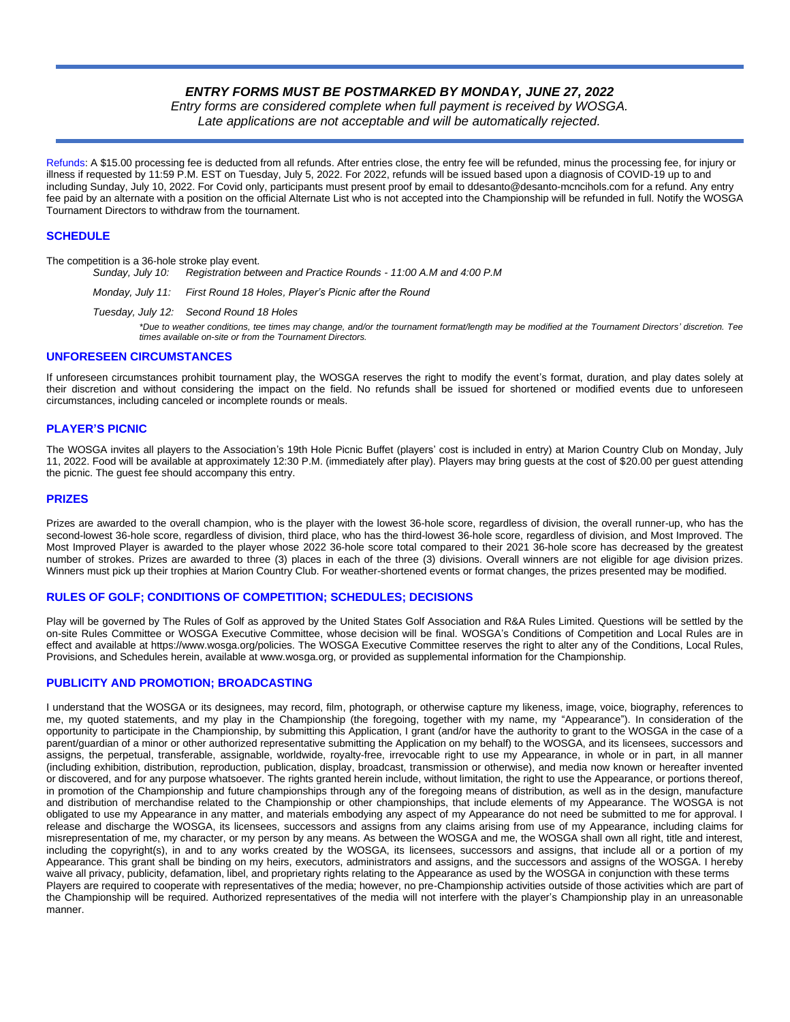# *ENTRY FORMS MUST BE POSTMARKED BY MONDAY, JUNE 27, 2022*

*Entry forms are considered complete when full payment is received by WOSGA. Late applications are not acceptable and will be automatically rejected.*

Refunds: A \$15.00 processing fee is deducted from all refunds. After entries close, the entry fee will be refunded, minus the processing fee, for injury or illness if requested by 11:59 P.M. EST on Tuesday, July 5, 2022. For 2022, refunds will be issued based upon a diagnosis of COVID-19 up to and including Sunday, July 10, 2022. For Covid only, participants must present proof by email to ddesanto@desanto-mcncihols.com for a refund. Any entry fee paid by an alternate with a position on the official Alternate List who is not accepted into the Championship will be refunded in full. Notify the WOSGA Tournament Directors to withdraw from the tournament.

## **SCHEDULE**

The competition is a 36-hole stroke play event.

*Sunday, July 10: Registration between and Practice Rounds - 11:00 A.M and 4:00 P.M*

*Monday, July 11: First Round 18 Holes, Player's Picnic after the Round*

*Tuesday, July 12: Second Round 18 Holes*

*\*Due to weather conditions, tee times may change, and/or the tournament format/length may be modified at the Tournament Directors' discretion. Tee times available on-site or from the Tournament Directors.*

#### **UNFORESEEN CIRCUMSTANCES**

If unforeseen circumstances prohibit tournament play, the WOSGA reserves the right to modify the event's format, duration, and play dates solely at their discretion and without considering the impact on the field. No refunds shall be issued for shortened or modified events due to unforeseen circumstances, including canceled or incomplete rounds or meals.

## **PLAYER'S PICNIC**

The WOSGA invites all players to the Association's 19th Hole Picnic Buffet (players' cost is included in entry) at Marion Country Club on Monday, July 11, 2022. Food will be available at approximately 12:30 P.M. (immediately after play). Players may bring guests at the cost of \$20.00 per guest attending the picnic. The guest fee should accompany this entry.

## **PRIZES**

Prizes are awarded to the overall champion, who is the player with the lowest 36-hole score, regardless of division, the overall runner-up, who has the second-lowest 36-hole score, regardless of division, third place, who has the third-lowest 36-hole score, regardless of division, and Most Improved. The Most Improved Player is awarded to the player whose 2022 36-hole score total compared to their 2021 36-hole score has decreased by the greatest number of strokes. Prizes are awarded to three (3) places in each of the three (3) divisions. Overall winners are not eligible for age division prizes. Winners must pick up their trophies at Marion Country Club. For weather-shortened events or format changes, the prizes presented may be modified.

## **RULES OF GOLF; CONDITIONS OF COMPETITION; SCHEDULES; DECISIONS**

Play will be governed by The Rules of Golf as approved by the United States Golf Association and R&A Rules Limited. Questions will be settled by the on-site Rules Committee or WOSGA Executive Committee, whose decision will be final. WOSGA's Conditions of Competition and Local Rules are in effect and available at https://www.wosga.org/policies. The WOSGA Executive Committee reserves the right to alter any of the Conditions, Local Rules, Provisions, and Schedules herein, available at www.wosga.org, or provided as supplemental information for the Championship.

## **PUBLICITY AND PROMOTION; BROADCASTING**

I understand that the WOSGA or its designees, may record, film, photograph, or otherwise capture my likeness, image, voice, biography, references to me, my quoted statements, and my play in the Championship (the foregoing, together with my name, my "Appearance"). In consideration of the opportunity to participate in the Championship, by submitting this Application, I grant (and/or have the authority to grant to the WOSGA in the case of a parent/guardian of a minor or other authorized representative submitting the Application on my behalf) to the WOSGA, and its licensees, successors and assigns, the perpetual, transferable, assignable, worldwide, royalty-free, irrevocable right to use my Appearance, in whole or in part, in all manner (including exhibition, distribution, reproduction, publication, display, broadcast, transmission or otherwise), and media now known or hereafter invented or discovered, and for any purpose whatsoever. The rights granted herein include, without limitation, the right to use the Appearance, or portions thereof, in promotion of the Championship and future championships through any of the foregoing means of distribution, as well as in the design, manufacture and distribution of merchandise related to the Championship or other championships, that include elements of my Appearance. The WOSGA is not obligated to use my Appearance in any matter, and materials embodying any aspect of my Appearance do not need be submitted to me for approval. I release and discharge the WOSGA, its licensees, successors and assigns from any claims arising from use of my Appearance, including claims for misrepresentation of me, my character, or my person by any means. As between the WOSGA and me, the WOSGA shall own all right, title and interest, including the copyright(s), in and to any works created by the WOSGA, its licensees, successors and assigns, that include all or a portion of my Appearance. This grant shall be binding on my heirs, executors, administrators and assigns, and the successors and assigns of the WOSGA. I hereby waive all privacy, publicity, defamation, libel, and proprietary rights relating to the Appearance as used by the WOSGA in conjunction with these terms Players are required to cooperate with representatives of the media; however, no pre-Championship activities outside of those activities which are part of the Championship will be required. Authorized representatives of the media will not interfere with the player's Championship play in an unreasonable manner.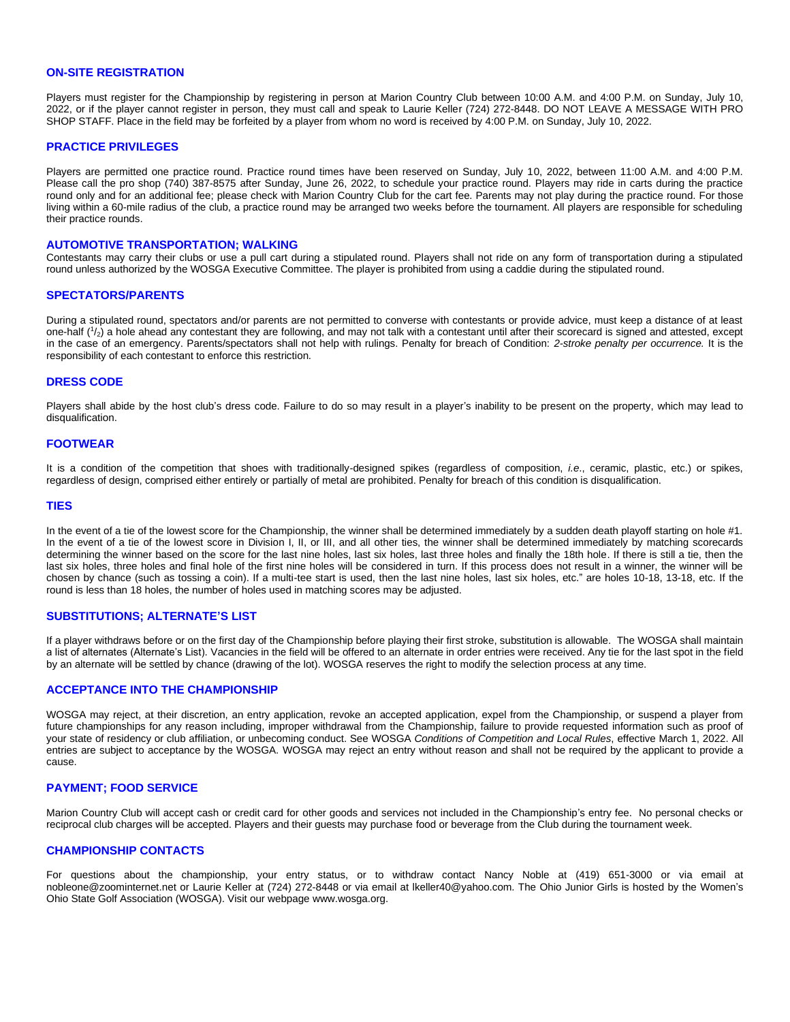# **ON-SITE REGISTRATION**

Players must register for the Championship by registering in person at Marion Country Club between 10:00 A.M. and 4:00 P.M. on Sunday, July 10, 2022, or if the player cannot register in person, they must call and speak to Laurie Keller (724) 272-8448. DO NOT LEAVE A MESSAGE WITH PRO SHOP STAFF. Place in the field may be forfeited by a player from whom no word is received by 4:00 P.M. on Sunday, July 10, 2022.

#### **PRACTICE PRIVILEGES**

Players are permitted one practice round. Practice round times have been reserved on Sunday, July 10, 2022, between 11:00 A.M. and 4:00 P.M. Please call the pro shop (740) 387-8575 after Sunday, June 26, 2022, to schedule your practice round. Players may ride in carts during the practice round only and for an additional fee; please check with Marion Country Club for the cart fee. Parents may not play during the practice round. For those living within a 60-mile radius of the club, a practice round may be arranged two weeks before the tournament. All players are responsible for scheduling their practice rounds.

#### **AUTOMOTIVE TRANSPORTATION; WALKING**

Contestants may carry their clubs or use a pull cart during a stipulated round. Players shall not ride on any form of transportation during a stipulated round unless authorized by the WOSGA Executive Committee. The player is prohibited from using a caddie during the stipulated round.

#### **SPECTATORS/PARENTS**

During a stipulated round, spectators and/or parents are not permitted to converse with contestants or provide advice, must keep a distance of at least one-half (1/<sub>2</sub>) a hole ahead any contestant they are following, and may not talk with a contestant until after their scorecard is signed and attested, except in the case of an emergency. Parents/spectators shall not help with rulings. Penalty for breach of Condition: *2-stroke penalty per occurrence.* It is the responsibility of each contestant to enforce this restriction.

## **DRESS CODE**

Players shall abide by the host club's dress code. Failure to do so may result in a player's inability to be present on the property, which may lead to disqualification.

#### **FOOTWEAR**

It is a condition of the competition that shoes with traditionally-designed spikes (regardless of composition, *i.e*., ceramic, plastic, etc.) or spikes, regardless of design, comprised either entirely or partially of metal are prohibited. Penalty for breach of this condition is disqualification.

#### **TIES**

In the event of a tie of the lowest score for the Championship, the winner shall be determined immediately by a sudden death playoff starting on hole #1. In the event of a tie of the lowest score in Division I. II, or III, and all other ties, the winner shall be determined immediately by matching scorecards determining the winner based on the score for the last nine holes, last six holes, last three holes and finally the 18th hole. If there is still a tie, then the last six holes, three holes and final hole of the first nine holes will be considered in turn. If this process does not result in a winner, the winner will be chosen by chance (such as tossing a coin). If a multi-tee start is used, then the last nine holes, last six holes, etc." are holes 10-18, 13-18, etc. If the round is less than 18 holes, the number of holes used in matching scores may be adjusted.

#### **SUBSTITUTIONS; ALTERNATE'S LIST**

If a player withdraws before or on the first day of the Championship before playing their first stroke, substitution is allowable. The WOSGA shall maintain a list of alternates (Alternate's List). Vacancies in the field will be offered to an alternate in order entries were received. Any tie for the last spot in the field by an alternate will be settled by chance (drawing of the lot). WOSGA reserves the right to modify the selection process at any time.

#### **ACCEPTANCE INTO THE CHAMPIONSHIP**

WOSGA may reject, at their discretion, an entry application, revoke an accepted application, expel from the Championship, or suspend a player from future championships for any reason including, improper withdrawal from the Championship, failure to provide requested information such as proof of your state of residency or club affiliation, or unbecoming conduct. See WOSGA *Conditions of Competition and Local Rules*, effective March 1, 2022. All entries are subject to acceptance by the WOSGA. WOSGA may reject an entry without reason and shall not be required by the applicant to provide a cause.

## **PAYMENT; FOOD SERVICE**

Marion Country Club will accept cash or credit card for other goods and services not included in the Championship's entry fee. No personal checks or reciprocal club charges will be accepted. Players and their guests may purchase food or beverage from the Club during the tournament week.

## **CHAMPIONSHIP CONTACTS**

For questions about the championship, your entry status, or to withdraw contact Nancy Noble at (419) 651-3000 or via email at nobleone@zoominternet.net or Laurie Keller at (724) 272-8448 or via email at lkeller40@yahoo.com. The Ohio Junior Girls is hosted by the Women's Ohio State Golf Association (WOSGA). Visit our webpage www.wosga.org.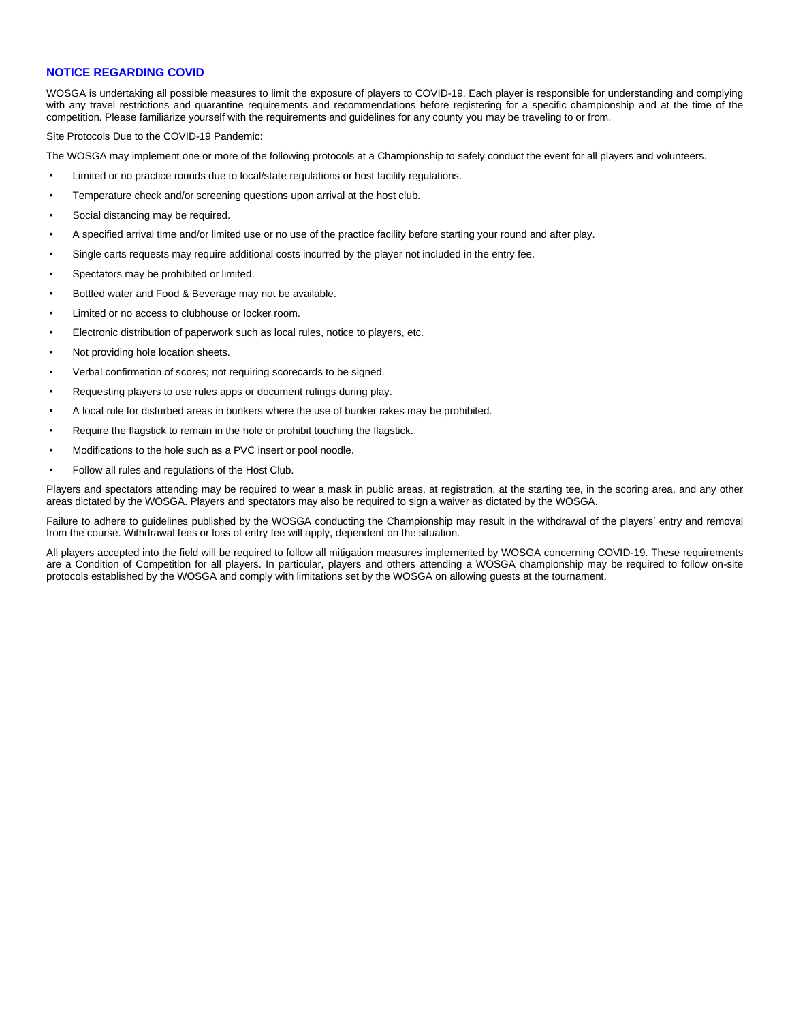## **NOTICE REGARDING COVID**

WOSGA is undertaking all possible measures to limit the exposure of players to COVID-19. Each player is responsible for understanding and complying with any travel restrictions and quarantine requirements and recommendations before registering for a specific championship and at the time of the competition. Please familiarize yourself with the requirements and guidelines for any county you may be traveling to or from.

Site Protocols Due to the COVID-19 Pandemic:

The WOSGA may implement one or more of the following protocols at a Championship to safely conduct the event for all players and volunteers.

- Limited or no practice rounds due to local/state regulations or host facility regulations.
- Temperature check and/or screening questions upon arrival at the host club.
- Social distancing may be required.
- A specified arrival time and/or limited use or no use of the practice facility before starting your round and after play.
- Single carts requests may require additional costs incurred by the player not included in the entry fee.
- Spectators may be prohibited or limited.
- Bottled water and Food & Beverage may not be available.
- Limited or no access to clubhouse or locker room.
- Electronic distribution of paperwork such as local rules, notice to players, etc.
- Not providing hole location sheets.
- Verbal confirmation of scores; not requiring scorecards to be signed.
- Requesting players to use rules apps or document rulings during play.
- A local rule for disturbed areas in bunkers where the use of bunker rakes may be prohibited.
- Require the flagstick to remain in the hole or prohibit touching the flagstick.
- Modifications to the hole such as a PVC insert or pool noodle.
- Follow all rules and regulations of the Host Club.

Players and spectators attending may be required to wear a mask in public areas, at registration, at the starting tee, in the scoring area, and any other areas dictated by the WOSGA. Players and spectators may also be required to sign a waiver as dictated by the WOSGA.

Failure to adhere to guidelines published by the WOSGA conducting the Championship may result in the withdrawal of the players' entry and removal from the course. Withdrawal fees or loss of entry fee will apply, dependent on the situation.

All players accepted into the field will be required to follow all mitigation measures implemented by WOSGA concerning COVID-19. These requirements are a Condition of Competition for all players. In particular, players and others attending a WOSGA championship may be required to follow on-site protocols established by the WOSGA and comply with limitations set by the WOSGA on allowing guests at the tournament.